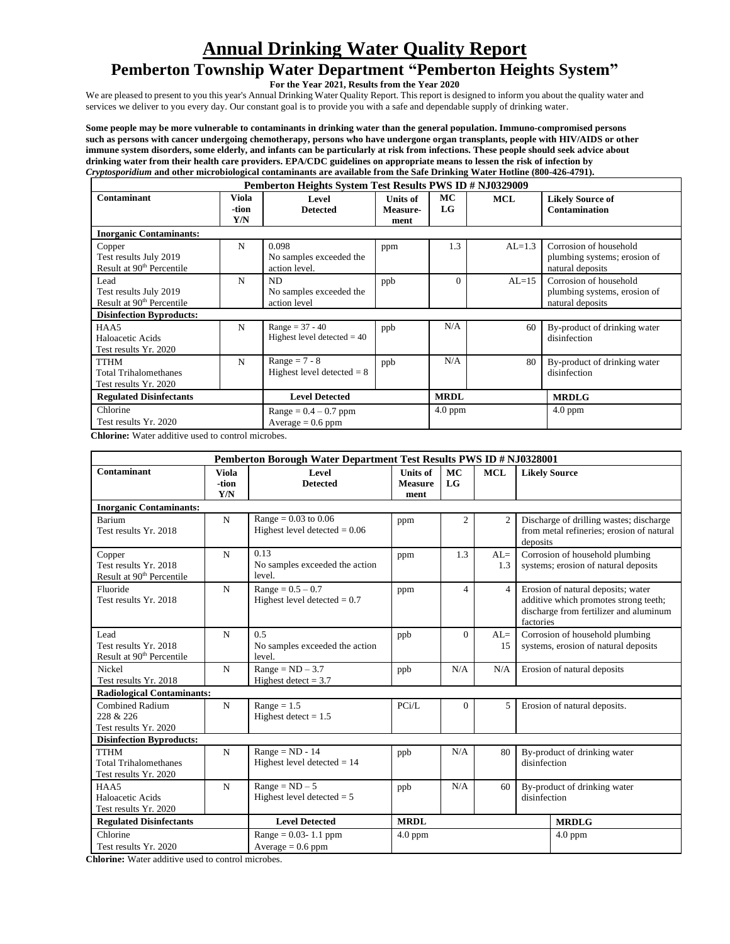# **Annual Drinking Water Quality Report**

# **Pemberton Township Water Department "Pemberton Heights System"**

**For the Year 2021, Results from the Year 2020**

We are pleased to present to you this year's Annual Drinking Water Quality Report. This report is designed to inform you about the quality water and services we deliver to you every day. Our constant goal is to provide you with a safe and dependable supply of drinking water.

**Some people may be more vulnerable to contaminants in drinking water than the general population. Immuno-compromised persons such as persons with cancer undergoing chemotherapy, persons who have undergone organ transplants, people with HIV/AIDS or other immune system disorders, some elderly, and infants can be particularly at risk from infections. These people should seek advice about drinking water from their health care providers. EPA/CDC guidelines on appropriate means to lessen the risk of infection by** *Cryptosporidium* **and other microbiological contaminants are available from the Safe Drinking Water Hotline (800-426-4791).** 

| Pemberton Heights System Test Results PWS ID # NJ0329009                  |   |                                                    |                              |                          |            |                                                                            |  |  |  |  |  |  |
|---------------------------------------------------------------------------|---|----------------------------------------------------|------------------------------|--------------------------|------------|----------------------------------------------------------------------------|--|--|--|--|--|--|
| Viola<br>Contaminant<br>-tion<br>Y/N                                      |   | Level<br><b>Detected</b>                           | Units of<br>Measure-<br>ment | <b>MC</b><br>$_{\rm LG}$ | <b>MCL</b> | <b>Likely Source of</b><br><b>Contamination</b>                            |  |  |  |  |  |  |
| <b>Inorganic Contaminants:</b>                                            |   |                                                    |                              |                          |            |                                                                            |  |  |  |  |  |  |
| Copper<br>Test results July 2019<br>Result at 90 <sup>th</sup> Percentile | N | 0.098<br>No samples exceeded the<br>action level.  | ppm                          | 1.3                      | $AL=1.3$   | Corrosion of household<br>plumbing systems; erosion of<br>natural deposits |  |  |  |  |  |  |
| Lead<br>Test results July 2019<br>Result at 90 <sup>th</sup> Percentile   | N | ND.<br>No samples exceeded the<br>action level     | ppb                          | $\Omega$                 | $AL=15$    | Corrosion of household<br>plumbing systems, erosion of<br>natural deposits |  |  |  |  |  |  |
| <b>Disinfection Byproducts:</b>                                           |   |                                                    |                              |                          |            |                                                                            |  |  |  |  |  |  |
| HAA5<br>Haloacetic Acids<br>Test results Yr. 2020                         | N | $Range = 37 - 40$<br>Highest level detected $= 40$ | ppb                          | N/A                      | 60         | By-product of drinking water<br>disinfection                               |  |  |  |  |  |  |
| <b>TTHM</b><br><b>Total Trihalomethanes</b><br>Test results Yr. 2020      | N | $Range = 7 - 8$<br>Highest level detected $= 8$    | ppb                          | N/A                      | 80         | By-product of drinking water<br>disinfection                               |  |  |  |  |  |  |
| <b>Regulated Disinfectants</b>                                            |   | <b>Level Detected</b>                              |                              | <b>MRDL</b>              |            | <b>MRDLG</b>                                                               |  |  |  |  |  |  |
| Chlorine<br>Test results Yr. 2020                                         |   | $Range = 0.4 - 0.7$ ppm<br>$Average = 0.6$ ppm     |                              | $4.0$ ppm                |            | $4.0$ ppm                                                                  |  |  |  |  |  |  |

 **Chlorine:** Water additive used to control microbes.

|                                                                           |                              | Pemberton Borough Water Department Test Results PWS ID # NJ0328001                     |                                           |                        |                |                                                                         |                                                                                                                       |  |  |  |
|---------------------------------------------------------------------------|------------------------------|----------------------------------------------------------------------------------------|-------------------------------------------|------------------------|----------------|-------------------------------------------------------------------------|-----------------------------------------------------------------------------------------------------------------------|--|--|--|
| Contaminant                                                               | <b>Viola</b><br>-tion<br>Y/N | Level<br><b>Detected</b>                                                               | <b>Units of</b><br><b>Measure</b><br>ment | <b>MC</b><br><b>LG</b> | <b>MCL</b>     | <b>Likely Source</b>                                                    |                                                                                                                       |  |  |  |
| <b>Inorganic Contaminants:</b>                                            |                              |                                                                                        |                                           |                        |                |                                                                         |                                                                                                                       |  |  |  |
| Barium<br>Test results Yr. 2018                                           | N                            | Range = $0.03$ to $0.06$<br>Highest level detected $= 0.06$                            | ppm                                       | $\overline{2}$         | $\overline{2}$ | deposits                                                                | Discharge of drilling wastes; discharge<br>from metal refineries; erosion of natural                                  |  |  |  |
| Copper<br>Test results Yr. 2018<br>Result at 90 <sup>th</sup> Percentile  | N                            | 0.13<br>No samples exceeded the action<br>level.                                       | ppm                                       | 1.3                    | $AL=$<br>1.3   | Corrosion of household plumbing<br>systems; erosion of natural deposits |                                                                                                                       |  |  |  |
| Fluoride<br>Test results Yr. 2018                                         | N                            | $Range = 0.5 - 0.7$<br>Highest level detected $= 0.7$                                  | ppm                                       | $\overline{4}$         | $\overline{4}$ | factories                                                               | Erosion of natural deposits; water<br>additive which promotes strong teeth;<br>discharge from fertilizer and aluminum |  |  |  |
| Lead<br>Test results Yr. 2018<br>Result at 90 <sup>th</sup> Percentile    | N                            | 0.5<br>No samples exceeded the action<br>level.                                        | ppb                                       | $\Omega$               | $AL=$<br>15    |                                                                         | Corrosion of household plumbing<br>systems, erosion of natural deposits                                               |  |  |  |
| Nickel<br>Test results Yr. 2018                                           | N                            | $Range = ND - 3.7$<br>Highest detect = $3.7$                                           | N/A<br>N/A<br>ppb                         |                        |                |                                                                         | Erosion of natural deposits                                                                                           |  |  |  |
| <b>Radiological Contaminants:</b>                                         |                              |                                                                                        |                                           |                        |                |                                                                         |                                                                                                                       |  |  |  |
| <b>Combined Radium</b><br>N<br>228 & 226<br>Test results Yr. 2020         |                              | $Range = 1.5$<br>Highest detect $= 1.5$                                                | PCi/L                                     | $\Omega$               | 5              |                                                                         | Erosion of natural deposits.                                                                                          |  |  |  |
| <b>Disinfection Byproducts:</b>                                           |                              |                                                                                        |                                           |                        |                |                                                                         |                                                                                                                       |  |  |  |
| N<br><b>TTHM</b><br><b>Total Trihalomethanes</b><br>Test results Yr. 2020 |                              | $Range = ND - 14$<br>N/A<br>80<br>ppb<br>Highest level detected $= 14$<br>disinfection |                                           |                        |                | By-product of drinking water                                            |                                                                                                                       |  |  |  |
| HAA5<br>Haloacetic Acids<br>Test results Yr. 2020                         | N                            | $Range = ND - 5$<br>Highest level detected $= 5$                                       | ppb                                       | N/A                    | 60             | disinfection                                                            | By-product of drinking water                                                                                          |  |  |  |
| <b>Regulated Disinfectants</b>                                            |                              | <b>Level Detected</b>                                                                  | <b>MRDL</b>                               |                        |                |                                                                         | <b>MRDLG</b>                                                                                                          |  |  |  |
| Chlorine<br>Test results Yr. 2020                                         |                              | $Range = 0.03 - 1.1$ ppm<br>$Average = 0.6$ ppm                                        | $4.0$ ppm                                 |                        |                |                                                                         | $4.0$ ppm                                                                                                             |  |  |  |

**Chlorine:** Water additive used to control microbes.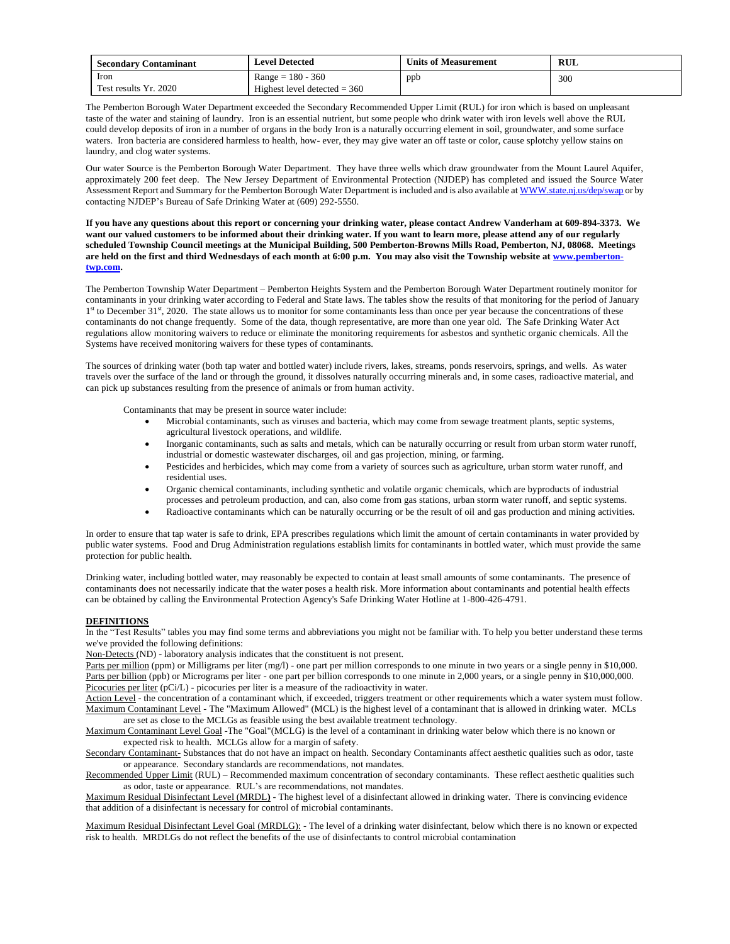| <b>Secondary Contaminant</b> | <b>Level Detected</b>          | <b>Units of Measurement</b> | RUL |
|------------------------------|--------------------------------|-----------------------------|-----|
| Iron                         | $Range = 180 - 360$            | ppb                         | 300 |
| Test results Yr. 2020        | Highest level detected $=$ 360 |                             |     |

The Pemberton Borough Water Department exceeded the Secondary Recommended Upper Limit (RUL) for iron which is based on unpleasant taste of the water and staining of laundry. Iron is an essential nutrient, but some people who drink water with iron levels well above the RUL could develop deposits of iron in a number of organs in the body Iron is a naturally occurring element in soil, groundwater, and some surface waters. Iron bacteria are considered harmless to health, how- ever, they may give water an off taste or color, cause splotchy yellow stains on laundry, and clog water systems.

Our water Source is the Pemberton Borough Water Department. They have three wells which draw groundwater from the Mount Laurel Aquifer, approximately 200 feet deep. The New Jersey Department of Environmental Protection (NJDEP) has completed and issued the Source Water Assessment Report and Summary for the Pemberton Borough Water Department is included and is also available at WWW.state.nj.us/dep/swap or by contacting NJDEP's Bureau of Safe Drinking Water at (609) 292-5550.

**If you have any questions about this report or concerning your drinking water, please contact Andrew Vanderham at 609-894-3373. We want our valued customers to be informed about their drinking water. If you want to learn more, please attend any of our regularly scheduled Township Council meetings at the Municipal Building, 500 Pemberton-Browns Mills Road, Pemberton, NJ, 08068. Meetings are held on the first and third Wednesdays of each month at 6:00 p.m. You may also visit the Township website at [www.pemberton](http://www.pemberton-twp.com/)[twp.com.](http://www.pemberton-twp.com/)**

The Pemberton Township Water Department – Pemberton Heights System and the Pemberton Borough Water Department routinely monitor for contaminants in your drinking water according to Federal and State laws. The tables show the results of that monitoring for the period of January 1<sup>st</sup> to December 31<sup>st</sup>, 2020. The state allows us to monitor for some contaminants less than once per year because the concentrations of these contaminants do not change frequently. Some of the data, though representative, are more than one year old. The Safe Drinking Water Act regulations allow monitoring waivers to reduce or eliminate the monitoring requirements for asbestos and synthetic organic chemicals. All the Systems have received monitoring waivers for these types of contaminants.

The sources of drinking water (both tap water and bottled water) include rivers, lakes, streams, ponds reservoirs, springs, and wells. As water travels over the surface of the land or through the ground, it dissolves naturally occurring minerals and, in some cases, radioactive material, and can pick up substances resulting from the presence of animals or from human activity.

Contaminants that may be present in source water include:

- Microbial contaminants, such as viruses and bacteria, which may come from sewage treatment plants, septic systems, agricultural livestock operations, and wildlife.
- Inorganic contaminants, such as salts and metals, which can be naturally occurring or result from urban storm water runoff, industrial or domestic wastewater discharges, oil and gas projection, mining, or farming.
- Pesticides and herbicides, which may come from a variety of sources such as agriculture, urban storm water runoff, and residential uses.
- Organic chemical contaminants, including synthetic and volatile organic chemicals, which are byproducts of industrial processes and petroleum production, and can, also come from gas stations, urban storm water runoff, and septic systems.
- Radioactive contaminants which can be naturally occurring or be the result of oil and gas production and mining activities.

In order to ensure that tap water is safe to drink, EPA prescribes regulations which limit the amount of certain contaminants in water provided by public water systems. Food and Drug Administration regulations establish limits for contaminants in bottled water, which must provide the same protection for public health.

Drinking water, including bottled water, may reasonably be expected to contain at least small amounts of some contaminants. The presence of contaminants does not necessarily indicate that the water poses a health risk. More information about contaminants and potential health effects can be obtained by calling the Environmental Protection Agency's Safe Drinking Water Hotline at 1-800-426-4791.

### **DEFINITIONS**

In the "Test Results" tables you may find some terms and abbreviations you might not be familiar with. To help you better understand these terms we've provided the following definitions:

Non-Detects (ND) - laboratory analysis indicates that the constituent is not present.

Parts per million (ppm) or Milligrams per liter (mg/l) - one part per million corresponds to one minute in two years or a single penny in \$10,000. Parts per billion (ppb) or Micrograms per liter - one part per billion corresponds to one minute in 2,000 years, or a single penny in \$10,000,000. Picocuries per liter (pCi/L) - picocuries per liter is a measure of the radioactivity in water.

Action Level - the concentration of a contaminant which, if exceeded, triggers treatment or other requirements which a water system must follow. Maximum Contaminant Level - The "Maximum Allowed" (MCL) is the highest level of a contaminant that is allowed in drinking water. MCLs are set as close to the MCLGs as feasible using the best available treatment technology.

Maximum Contaminant Level Goal -The "Goal"(MCLG) is the level of a contaminant in drinking water below which there is no known or expected risk to health. MCLGs allow for a margin of safety.

Secondary Contaminant- Substances that do not have an impact on health. Secondary Contaminants affect aesthetic qualities such as odor, taste or appearance. Secondary standards are recommendations, not mandates.

Recommended Upper Limit (RUL) – Recommended maximum concentration of secondary contaminants. These reflect aesthetic qualities such as odor, taste or appearance. RUL's are recommendations, not mandates.

Maximum Residual Disinfectant Level (MRDL**) -** The highest level of a disinfectant allowed in drinking water. There is convincing evidence that addition of a disinfectant is necessary for control of microbial contaminants.

Maximum Residual Disinfectant Level Goal (MRDLG): - The level of a drinking water disinfectant, below which there is no known or expected risk to health. MRDLGs do not reflect the benefits of the use of disinfectants to control microbial contamination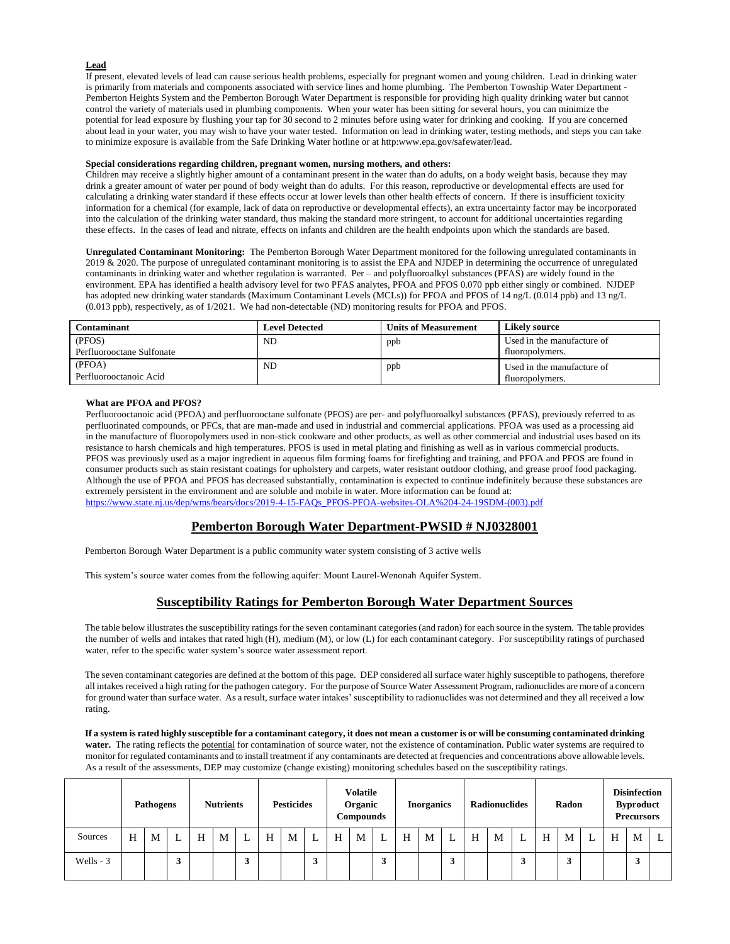#### **Lead**

If present, elevated levels of lead can cause serious health problems, especially for pregnant women and young children. Lead in drinking water is primarily from materials and components associated with service lines and home plumbing. The Pemberton Township Water Department - Pemberton Heights System and the Pemberton Borough Water Department is responsible for providing high quality drinking water but cannot control the variety of materials used in plumbing components. When your water has been sitting for several hours, you can minimize the potential for lead exposure by flushing your tap for 30 second to 2 minutes before using water for drinking and cooking. If you are concerned about lead in your water, you may wish to have your water tested. Information on lead in drinking water, testing methods, and steps you can take to minimize exposure is available from the Safe Drinking Water hotline or at http:www.epa.gov/safewater/lead.

#### **Special considerations regarding children, pregnant women, nursing mothers, and others:**

Children may receive a slightly higher amount of a contaminant present in the water than do adults, on a body weight basis, because they may drink a greater amount of water per pound of body weight than do adults. For this reason, reproductive or developmental effects are used for calculating a drinking water standard if these effects occur at lower levels than other health effects of concern. If there is insufficient toxicity information for a chemical (for example, lack of data on reproductive or developmental effects), an extra uncertainty factor may be incorporated into the calculation of the drinking water standard, thus making the standard more stringent, to account for additional uncertainties regarding these effects. In the cases of lead and nitrate, effects on infants and children are the health endpoints upon which the standards are based.

**Unregulated Contaminant Monitoring:** The Pemberton Borough Water Department monitored for the following unregulated contaminants in 2019 & 2020. The purpose of unregulated contaminant monitoring is to assist the EPA and NJDEP in determining the occurrence of unregulated contaminants in drinking water and whether regulation is warranted. Per – and polyfluoroalkyl substances (PFAS) are widely found in the environment. EPA has identified a health advisory level for two PFAS analytes, PFOA and PFOS 0.070 ppb either singly or combined. NJDEP has adopted new drinking water standards (Maximum Contaminant Levels (MCLs)) for PFOA and PFOS of 14 ng/L (0.014 ppb) and 13 ng/L (0.013 ppb), respectively, as of 1/2021. We had non-detectable (ND) monitoring results for PFOA and PFOS.

| <b>Contaminant</b>        | <b>Level Detected</b> | <b>Units of Measurement</b> | <b>Likely source</b>       |
|---------------------------|-----------------------|-----------------------------|----------------------------|
| (PFOS)                    | ND                    | ppb                         | Used in the manufacture of |
| Perfluorooctane Sulfonate |                       |                             | fluoropolymers.            |
| (PFOA)                    | ND                    | ppb                         | Used in the manufacture of |
| Perfluorooctanoic Acid    |                       |                             | fluoropolymers.            |

#### **What are PFOA and PFOS?**

Perfluorooctanoic acid (PFOA) and perfluorooctane sulfonate (PFOS) are per- and polyfluoroalkyl substances (PFAS), previously referred to as perfluorinated compounds, or PFCs, that are man-made and used in industrial and commercial applications. PFOA was used as a processing aid in the manufacture of fluoropolymers used in non-stick cookware and other products, as well as other commercial and industrial uses based on its resistance to harsh chemicals and high temperatures. PFOS is used in metal plating and finishing as well as in various commercial products. PFOS was previously used as a major ingredient in aqueous film forming foams for firefighting and training, and PFOA and PFOS are found in consumer products such as stain resistant coatings for upholstery and carpets, water resistant outdoor clothing, and grease proof food packaging. Although the use of PFOA and PFOS has decreased substantially, contamination is expected to continue indefinitely because these substances are extremely persistent in the environment and are soluble and mobile in water. More information can be found at: [https://www.state.nj.us/dep/wms/bears/docs/2019-4-15-FAQs\\_PFOS-PFOA-websites-OLA%204-24-19SDM-\(003\).pdf](https://www.state.nj.us/dep/wms/bears/docs/2019-4-15-FAQs_PFOS-PFOA-websites-OLA%204-24-19SDM-(003).pdf)

## **Pemberton Borough Water Department-PWSID # NJ0328001**

Pemberton Borough Water Department is a public community water system consisting of 3 active wells

This system's source water comes from the following aquifer: Mount Laurel-Wenonah Aquifer System.

## **Susceptibility Ratings for Pemberton Borough Water Department Sources**

The table below illustrates the susceptibility ratings for the seven contaminant categories (and radon) for each source in the system. The table provides the number of wells and intakes that rated high (H), medium (M), or low (L) for each contaminant category. For susceptibility ratings of purchased water, refer to the specific water system's source water assessment report.

The seven contaminant categories are defined at the bottom of this page. DEP considered all surface water highly susceptible to pathogens, therefore all intakes received a high rating for the pathogen category. For the purpose of Source Water Assessment Program, radionuclides are more of a concern for ground water than surface water. As a result, surface water intakes' susceptibility to radionuclides was not determined and they all received a low rating.

**If a system is rated highly susceptible for a contaminant category, it does not mean a customer is or will be consuming contaminated drinking water.** The rating reflects the potential for contamination of source water, not the existence of contamination. Public water systems are required to monitor for regulated contaminants and to install treatment if any contaminants are detected at frequencies and concentrations above allowable levels. As a result of the assessments, DEP may customize (change existing) monitoring schedules based on the susceptibility ratings.

|            |   | <b>Nutrients</b><br><b>Pathogens</b> |   |   | <b>Volatile</b><br>Organic<br><b>Pesticides</b><br>Compounds |   |   |   |          | <b>Inorganics</b> |   |         | <b>Radionuclides</b> |   |                     | Radon |   |   | <b>Disinfection</b><br><b>Byproduct</b><br><b>Precursors</b> |   |  |   |   |   |
|------------|---|--------------------------------------|---|---|--------------------------------------------------------------|---|---|---|----------|-------------------|---|---------|----------------------|---|---------------------|-------|---|---|--------------------------------------------------------------|---|--|---|---|---|
| Sources    | H | М                                    |   | H | M                                                            |   | H | M |          | H                 | M |         | H                    | M |                     | H     | M | L | H                                                            | M |  | H | M | L |
| Wells $-3$ |   |                                      | 3 |   |                                                              | 3 |   |   | л<br>- 1 |                   |   | Δ<br>п. |                      |   | <b>C</b><br>$\cdot$ |       |   | 3 |                                                              | 3 |  |   |   |   |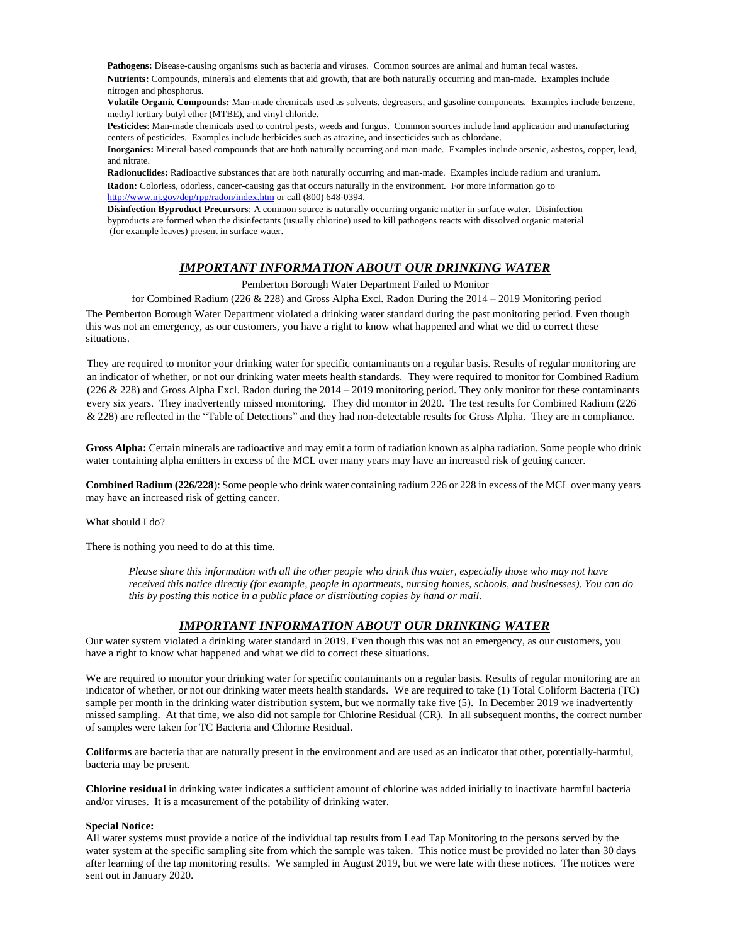**Pathogens:** Disease-causing organisms such as bacteria and viruses. Common sources are animal and human fecal wastes.

**Nutrients:** Compounds, minerals and elements that aid growth, that are both naturally occurring and man-made. Examples include nitrogen and phosphorus.

**Volatile Organic Compounds:** Man-made chemicals used as solvents, degreasers, and gasoline components. Examples include benzene, methyl tertiary butyl ether (MTBE), and vinyl chloride.

**Pesticides**: Man-made chemicals used to control pests, weeds and fungus. Common sources include land application and manufacturing centers of pesticides. Examples include herbicides such as atrazine, and insecticides such as chlordane.

**Inorganics:** Mineral-based compounds that are both naturally occurring and man-made. Examples include arsenic, asbestos, copper, lead, and nitrate.

**Radionuclides:** Radioactive substances that are both naturally occurring and man-made. Examples include radium and uranium. **Radon:** Colorless, odorless, cancer-causing gas that occurs naturally in the environment. For more information go to http://www.nj.gov/dep/rpp/radon/index.htm or call (800) 648-0394.

**Disinfection Byproduct Precursors**: A common source is naturally occurring organic matter in surface water. Disinfection byproducts are formed when the disinfectants (usually chlorine) used to kill pathogens reacts with dissolved organic material (for example leaves) present in surface water.

# *IMPORTANT INFORMATION ABOUT OUR DRINKING WATER*

Pemberton Borough Water Department Failed to Monitor

for Combined Radium (226 & 228) and Gross Alpha Excl. Radon During the 2014 – 2019 Monitoring period The Pemberton Borough Water Department violated a drinking water standard during the past monitoring period. Even though this was not an emergency, as our customers, you have a right to know what happened and what we did to correct these situations.

They are required to monitor your drinking water for specific contaminants on a regular basis. Results of regular monitoring are an indicator of whether, or not our drinking water meets health standards. They were required to monitor for Combined Radium (226  $&$  228) and Gross Alpha Excl. Radon during the 2014 – 2019 monitoring period. They only monitor for these contaminants every six years. They inadvertently missed monitoring. They did monitor in 2020. The test results for Combined Radium (226 & 228) are reflected in the "Table of Detections" and they had non-detectable results for Gross Alpha. They are in compliance.

**Gross Alpha:** Certain minerals are radioactive and may emit a form of radiation known as alpha radiation. Some people who drink water containing alpha emitters in excess of the MCL over many years may have an increased risk of getting cancer.

**Combined Radium (226/228**): Some people who drink water containing radium 226 or 228 in excess of the MCL over many years may have an increased risk of getting cancer.

What should I do?

There is nothing you need to do at this time.

*Please share this information with all the other people who drink this water, especially those who may not have received this notice directly (for example, people in apartments, nursing homes, schools, and businesses). You can do this by posting this notice in a public place or distributing copies by hand or mail.*

# *IMPORTANT INFORMATION ABOUT OUR DRINKING WATER*

Our water system violated a drinking water standard in 2019. Even though this was not an emergency, as our customers, you have a right to know what happened and what we did to correct these situations.

We are required to monitor your drinking water for specific contaminants on a regular basis. Results of regular monitoring are an indicator of whether, or not our drinking water meets health standards. We are required to take (1) Total Coliform Bacteria (TC) sample per month in the drinking water distribution system, but we normally take five (5). In December 2019 we inadvertently missed sampling. At that time, we also did not sample for Chlorine Residual (CR). In all subsequent months, the correct number of samples were taken for TC Bacteria and Chlorine Residual.

**Coliforms** are bacteria that are naturally present in the environment and are used as an indicator that other, potentially-harmful, bacteria may be present.

**Chlorine residual** in drinking water indicates a sufficient amount of chlorine was added initially to inactivate harmful bacteria and/or viruses. It is a measurement of the potability of drinking water.

## **Special Notice:**

All water systems must provide a notice of the individual tap results from Lead Tap Monitoring to the persons served by the water system at the specific sampling site from which the sample was taken. This notice must be provided no later than 30 days after learning of the tap monitoring results. We sampled in August 2019, but we were late with these notices. The notices were sent out in January 2020.